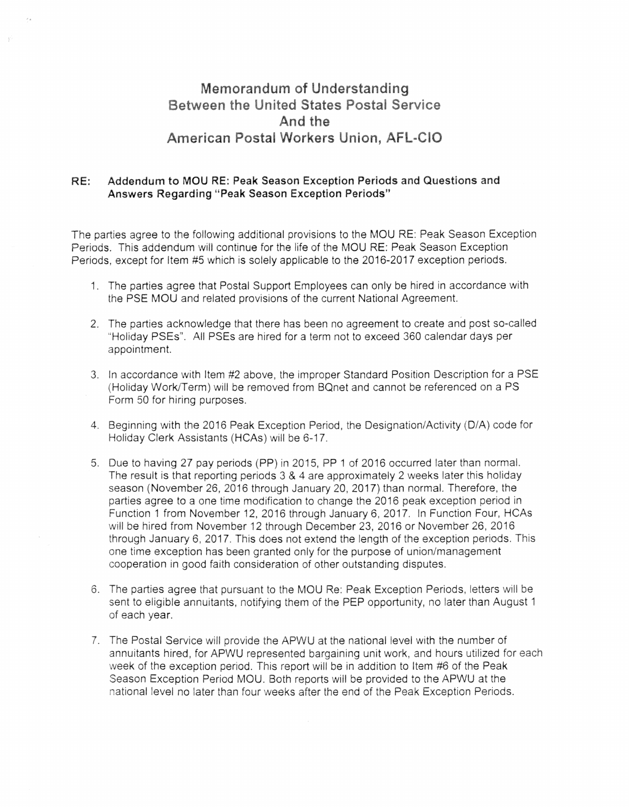## Memorandum of Understanding **Between the United States Postal Service** And the Workers Ur

## RE: Addendum to MOURE: Peak Season Exception Periods and Questions and Answers Regarding "Peak Season Exception Periods"

The parties agree to the following additional provisions to the MOU RE: Peak Season Exception Periods. This addendum will continue for the life of the MOU RE: Peak Season Exception Periods, except for Item #5 which is solely applicable to the 2016-2017 exception periods.

- 1. The parties agree that Postal Support Employees can only be hired in accordance with the PSE MOU and related provisions of the current National Agreement.
- 2. The parties acknowledge that there has been no agreement to create and post so-called ·Holiday PSEs". AI! PSEs are hired for a term not to exceed 360 calendar days per appointment.
- 3. !n accordance with Item #2 above, the improper Standard Position Description for a PSE (Holiday Work/Term) will be removed from BQnet and cannot be referenced on a PS Form 50 for hiring purposes.
- 4. Beginning with the 2016 Peak Exception Period, the Designation/Activity (D/A) code for Holiday Clerk Assistants (HCAs) will be 6-17.
- 5. Due to having 27 pay periods (PP) in 2015, PP 1 of 2016 occurred later than normal. The result is that reporting periods  $3 \& 4$  are approximately 2 weeks later this holiday season (November 26, 2016 through January 20, 2017) than normal. Therefore, the parties agree to a one time modification to change the 2016 peak exception period in Function 1 from November 12, 2016 through January 6, 2017. In Function Four, HCAs will be hired from November 12 through December 23, 2016 or November 26. 2016 through January 6, 2017. This does not extend the length of the exception periods. This one time exception has been granted oniy for the purpose of union/management cooperation in good faith consideration of other outstanding disputes.
- 6. The parties agree that pursuant to the MOU Re: Peak Exception Periods, letters will be sent to eligible annuitants, notifying them of the PEP opportunity, no later than August 1 of each year.
- 7. The Postal Service will provide the APWU at the national level with the number of annuitants hired, for APWU represented bargaining unit work, and hours utilized for each week of the exception period. This report will be in addition to Item #6 of the Peak Season Exception Period MOU. Both reports will be provided to the APWU at the national level no later than four weeks after the end of the Peak Exception Periods.